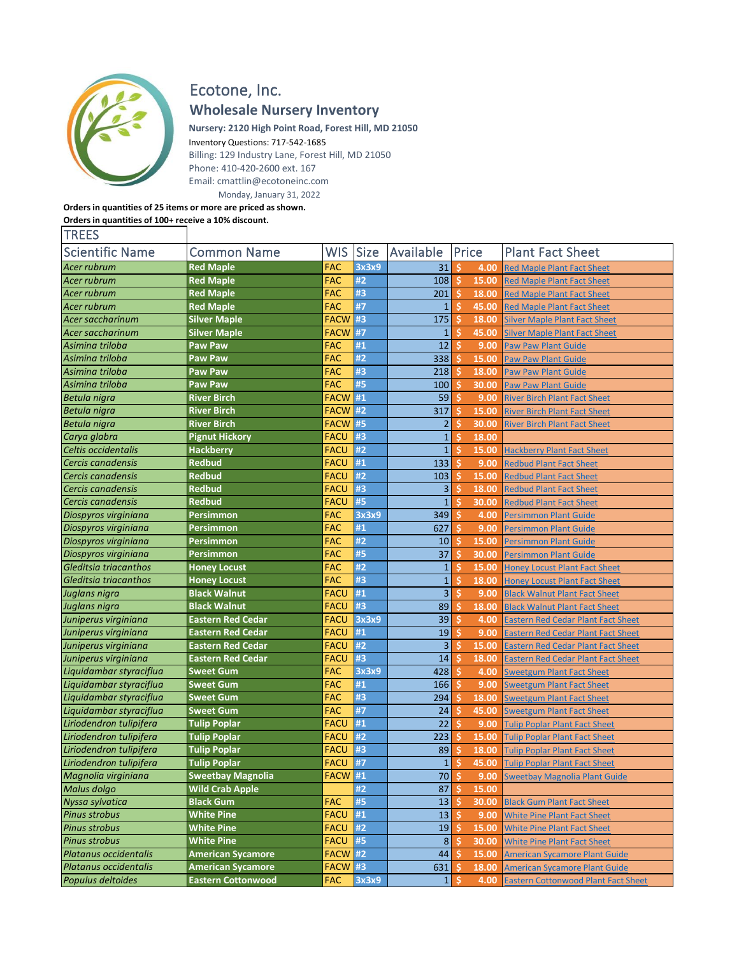

## Ecotone, Inc. **Wholesale Nursery Inventory**

**Nursery: 2120 High Point Road, Forest Hill, MD 21050** Inventory Questions: 717-542-1685

Billing: 129 Industry Lane, Forest Hill, MD 21050 Phone: 410-420-2600 ext. 167 Email: cmattlin@ecotoneinc.com Monday, January 31, 2022

## **Orders in quantities of 25 items or more are priced as shown. Orders in quantities of 100+ receive a 10% discount. TREES**

| <b>Scientific Name</b>  | <b>Common Name</b>        | <b>WIS</b>  | <b>Size</b> | Available      |          | Price | <b>Plant Fact Sheet</b>                    |
|-------------------------|---------------------------|-------------|-------------|----------------|----------|-------|--------------------------------------------|
| Acer rubrum             | <b>Red Maple</b>          | FAC         | 3x3x9       | 31             | \$.      | 4.00  | <b>Red Maple Plant Fact Sheet</b>          |
| Acer rubrum             | <b>Red Maple</b>          | <b>FAC</b>  | #2          | 108            | <b>S</b> | 15.00 | <b>Red Maple Plant Fact Sheet</b>          |
| Acer rubrum             | <b>Red Maple</b>          | <b>FAC</b>  | #3          | 201            | Ś.       | 18.00 | <b>Red Maple Plant Fact Sheet</b>          |
| Acer rubrum             | <b>Red Maple</b>          | <b>FAC</b>  | #7          | $\mathbf{1}$   | Ŝ        | 45.00 | <b>Red Maple Plant Fact Sheet</b>          |
| Acer saccharinum        | <b>Silver Maple</b>       | <b>FACW</b> | #3          | 175            | Ś        | 18.00 | <b>Silver Maple Plant Fact Sheet</b>       |
| Acer saccharinum        | <b>Silver Maple</b>       | FACW        | #7          | $\mathbf{1}$   | Ś        | 45.00 | <b>Silver Maple Plant Fact Sheet</b>       |
| Asimina triloba         | <b>Paw Paw</b>            | <b>FAC</b>  | #1          | 12             | Ś        | 9.00  | <b>Paw Paw Plant Guide</b>                 |
| Asimina triloba         | <b>Paw Paw</b>            | <b>FAC</b>  | #2          | 338            | Ś        | 15.00 | <b>Paw Paw Plant Guide</b>                 |
| Asimina triloba         | <b>Paw Paw</b>            | <b>FAC</b>  | #3          | 218            | Ś        | 18.00 | <b>Paw Paw Plant Guide</b>                 |
| Asimina triloba         | Paw Paw                   | <b>FAC</b>  | #5          | 100            | Ŝ        | 30.00 | <b>Paw Paw Plant Guide</b>                 |
| Betula nigra            | <b>River Birch</b>        | <b>FACW</b> | #1          | 59             | Ś.       | 9.00  | <b>River Birch Plant Fact Sheet</b>        |
| Betula nigra            | <b>River Birch</b>        | <b>FACW</b> | #2          | 317            | Ŝ        | 15.00 | <b>River Birch Plant Fact Sheet</b>        |
| Betula nigra            | <b>River Birch</b>        | FACW #5     |             | $\overline{2}$ | Ś.       | 30.00 | <b>River Birch Plant Fact Sheet</b>        |
| Carya glabra            | <b>Pignut Hickory</b>     | <b>FACU</b> | #3          | $\mathbf{1}$   | Ś        | 18.00 |                                            |
| Celtis occidentalis     | Hackberry                 | <b>FACU</b> | #2          | $\overline{1}$ | Ŝ        | 15.00 | <b>Hackberry Plant Fact Sheet</b>          |
| Cercis canadensis       | <b>Redbud</b>             | <b>FACU</b> | #1          | 133            | Ś        | 9.00  | <b>Redbud Plant Fact Sheet</b>             |
| Cercis canadensis       | <b>Redbud</b>             | <b>FACU</b> | #2          | 103            | Ś        | 15.00 | <b>Redbud Plant Fact Sheet</b>             |
| Cercis canadensis       | <b>Redbud</b>             | <b>FACU</b> | #3          | 3              | Ŝ        | 18.00 | <b>Redbud Plant Fact Sheet</b>             |
| Cercis canadensis       | <b>Redbud</b>             | <b>FACU</b> | #5          | $\mathbf{1}$   | S        | 30.00 | <b>Redbud Plant Fact Sheet</b>             |
| Diospyros virginiana    | Persimmon                 | <b>FAC</b>  | 3x3x9       | 349            | Ŝ        | 4.00  | <b>Persimmon Plant Guide</b>               |
| Diospyros virginiana    | <b>Persimmon</b>          | FAC         | #1          | 627            | Ś        | 9.00  | <b>Persimmon Plant Guide</b>               |
| Diospyros virginiana    | <b>Persimmon</b>          | <b>FAC</b>  | #2          | 10             | Ś        | 15.00 | <b>Persimmon Plant Guide</b>               |
| Diospyros virginiana    | <b>Persimmon</b>          | <b>FAC</b>  | #5          | 37             | \$       | 30.00 | <b>Persimmon Plant Guide</b>               |
| Gleditsia triacanthos   | <b>Honey Locust</b>       | <b>FAC</b>  | #2          | $\mathbf{1}$   | Ś        | 15.00 | <b>Honey Locust Plant Fact Sheet</b>       |
| Gleditsia triacanthos   | <b>Honey Locust</b>       | <b>FAC</b>  | #3          | $\mathbf{1}$   | Ś        | 18.00 | <b>Honey Locust Plant Fact Sheet</b>       |
| Juglans nigra           | <b>Black Walnut</b>       | <b>FACU</b> | #1          | 3              | Ś        | 9.00  | <b>Black Walnut Plant Fact Sheet</b>       |
| Juglans nigra           | <b>Black Walnut</b>       | <b>FACU</b> | #3          | 89             | Ś        | 18.00 | <b>Black Walnut Plant Fact Sheet</b>       |
| Juniperus virginiana    | Eastern Red Cedar         | <b>FACU</b> | 3x3x9       | 39             | \$       | 4.00  | <b>Eastern Red Cedar Plant Fact Sheet</b>  |
| Juniperus virginiana    | Eastern Red Cedar         | <b>FACU</b> | #1          | 19             | \$       | 9.00  | <b>Eastern Red Cedar Plant Fact Sheet</b>  |
| Juniperus virginiana    | Eastern Red Cedar         | <b>FACU</b> | #2          | $\overline{3}$ | Ś        | 15.00 | <u>Eastern Red Cedar Plant Fact Sheet</u>  |
| Juniperus virginiana    | Eastern Red Cedar         | FACU        | #3          | 14             | S        | 18.00 | <b>Eastern Red Cedar Plant Fact Sheet</b>  |
| Liquidambar styraciflua | <b>Sweet Gum</b>          | <b>FAC</b>  | 3x3x9       | 428            | Š.       | 4.00  | <b>Sweetgum Plant Fact Sheet</b>           |
| Liquidambar styraciflua | <b>Sweet Gum</b>          | <b>FAC</b>  | #1          | 166            | \$       | 9.00  | <b>Sweetgum Plant Fact Sheet</b>           |
| Liquidambar styraciflua | <b>Sweet Gum</b>          | <b>FAC</b>  | #3          | 294            | Ś        | 18.00 | <b>Sweetgum Plant Fact Sheet</b>           |
| Liquidambar styraciflua | <b>Sweet Gum</b>          | <b>FAC</b>  | #7          | 24             | Ŝ        | 45.00 | <b>Sweetgum Plant Fact Sheet</b>           |
| Liriodendron tulipifera | <b>Tulip Poplar</b>       | <b>FACU</b> | #1          | 22             | Ś.       | 9.00  | <b>Tulip Poplar Plant Fact Sheet</b>       |
| Liriodendron tulipifera | <b>Tulip Poplar</b>       | <b>FACU</b> | #2          | 223            | Ś        | 15.00 | <b>Tulip Poplar Plant Fact Sheet</b>       |
| Liriodendron tulipifera | <b>Tulip Poplar</b>       | <b>FACU</b> | #3          | 89             | Ś        | 18.00 | <b>Tulip Poplar Plant Fact Sheet</b>       |
| Liriodendron tulipifera | <b>Tulip Poplar</b>       | <b>FACU</b> | #7          | $\mathbf{1}$   | S        | 45.00 | <b>Tulip Poplar Plant Fact Sheet</b>       |
| Magnolia virginiana     | <b>Sweetbay Magnolia</b>  | FACW #1     |             | 70             | 'S       | 9.00  | <b>Sweetbay Magnolia Plant Guide</b>       |
| Malus dolgo             | <b>Wild Crab Apple</b>    |             | #2          | 87             | -S       | 15.00 |                                            |
| Nyssa sylvatica         | <b>Black Gum</b>          | <b>FAC</b>  | #5          | 13             | Š.       | 30.00 | <b>Black Gum Plant Fact Sheet</b>          |
| Pinus strobus           | <b>White Pine</b>         | <b>FACU</b> | #1          | 13             | s.       | 9.00  | <b>White Pine Plant Fact Sheet</b>         |
| <b>Pinus strobus</b>    | <b>White Pine</b>         | <b>FACU</b> | #2          | 19             | S        | 15.00 | <b>White Pine Plant Fact Sheet</b>         |
| <b>Pinus strobus</b>    | <b>White Pine</b>         | <b>FACU</b> | #5          | 8 <sup>1</sup> | <b>S</b> | 30.00 | <b>White Pine Plant Fact Sheet</b>         |
| Platanus occidentalis   | <b>American Sycamore</b>  | FACW #2     |             | 44             | S        | 15.00 | <b>American Sycamore Plant Guide</b>       |
| Platanus occidentalis   | <b>American Sycamore</b>  | FACW #3     |             | 631            | .s       | 18.00 | <b>American Sycamore Plant Guide</b>       |
| Populus deltoides       | <b>Eastern Cottonwood</b> | <b>FAC</b>  | 3x3x9       | $1\vert$       | 'S       | 4.00  | <b>Eastern Cottonwood Plant Fact Sheet</b> |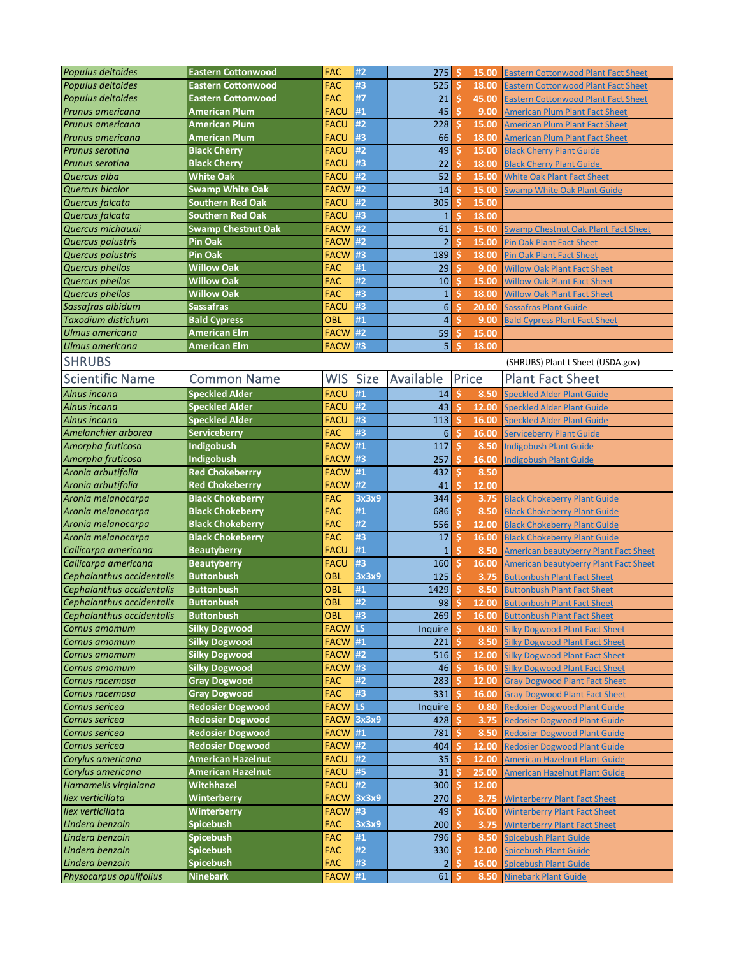| Populus deltoides         | <b>Eastern Cottonwood</b> | <b>FAC</b>     | #2          | 275              | -\$ | 15.00 | <b>Eastern Cottonwood Plant Fact Sheet</b>   |
|---------------------------|---------------------------|----------------|-------------|------------------|-----|-------|----------------------------------------------|
| Populus deltoides         | <b>Eastern Cottonwood</b> | <b>FAC</b>     | #3          | 525              | Ŝ   | 18.00 | <b>Eastern Cottonwood Plant Fact Sheet</b>   |
| Populus deltoides         | <b>Eastern Cottonwood</b> | <b>FAC</b>     | #7          | 21               | \$  | 45.00 | <b>Eastern Cottonwood Plant Fact Sheet</b>   |
| Prunus americana          | <b>American Plum</b>      | <b>FACU</b>    | #1          | 45               | Ŝ   | 9.00  |                                              |
|                           |                           |                |             |                  |     |       | <b>American Plum Plant Fact Sheet</b>        |
| Prunus americana          | <b>American Plum</b>      | <b>FACU</b>    | #2          | 228              | S   | 15.00 | <b>American Plum Plant Fact Sheet</b>        |
| Prunus americana          | <b>American Plum</b>      | <b>FACU</b>    | #3          | 66               | S   | 18.00 | <b>American Plum Plant Fact Sheet</b>        |
| Prunus serotina           | <b>Black Cherry</b>       | <b>FACU</b>    | #2          | 49               | Ŝ   | 15.00 | <b>Black Cherry Plant Guide</b>              |
| Prunus serotina           | <b>Black Cherry</b>       | <b>FACU</b>    | #3          | 22               | Ś   | 18.00 | <b>Black Cherry Plant Guide</b>              |
| Quercus alba              | <b>White Oak</b>          | <b>FACU</b>    | #2          | 52               | Ŝ   | 15.00 | <b>White Oak Plant Fact Sheet</b>            |
| Quercus bicolor           | <b>Swamp White Oak</b>    | FACW           | #2          | 14               | S   | 15.00 | <b>Swamp White Oak Plant Guide</b>           |
| Quercus falcata           | <b>Southern Red Oak</b>   | <b>FACU</b>    | #2          | 305              | Ŝ   | 15.00 |                                              |
| Quercus falcata           | <b>Southern Red Oak</b>   | <b>FACU</b>    | #3          | $\mathbf{1}$     | \$  | 18.00 |                                              |
| Quercus michauxii         | <b>Swamp Chestnut Oak</b> | <b>FACW</b>    | #2          | 61               | Ś   | 15.00 | <b>Swamp Chestnut Oak Plant Fact Sheet</b>   |
| Quercus palustris         | Pin Oak                   | <b>FACW</b>    | #2          | $\overline{2}$   | Ŝ   | 15.00 | <b>Pin Oak Plant Fact Sheet</b>              |
| Quercus palustris         | Pin Oak                   | FACW           | #3          | 189              | \$. | 18.00 | <b>Pin Oak Plant Fact Sheet</b>              |
| Quercus phellos           | <b>Willow Oak</b>         | <b>FAC</b>     | #1          | 29               | Ŝ   | 9.00  | <b>Willow Oak Plant Fact Sheet</b>           |
| Quercus phellos           | <b>Willow Oak</b>         | <b>FAC</b>     | #2          | 10               | Ŝ   | 15.00 | <b>Willow Oak Plant Fact Sheet</b>           |
| Quercus phellos           | <b>Willow Oak</b>         | <b>FAC</b>     | #3          | $1\,$            | Ś   | 18.00 | <b>Willow Oak Plant Fact Sheet</b>           |
| Sassafras albidum         | <b>Sassafras</b>          | <b>FACU</b>    | #3          | $\boldsymbol{6}$ | Ŝ   | 20.00 |                                              |
|                           |                           |                |             |                  |     |       | <b>Sassafras Plant Guide</b>                 |
| <b>Taxodium distichum</b> | <b>Bald Cypress</b>       | OBL            | #1          | 4                | S   | 9.00  | <b>Bald Cypress Plant Fact Sheet</b>         |
| Ulmus americana           | <b>American Elm</b>       | <b>FACW</b>    | #2          | 59               | Ŝ   | 15.00 |                                              |
| <b>Ulmus americana</b>    | <b>American Elm</b>       | <b>FACW</b>    | #3          | 5                | Ś   | 18.00 |                                              |
| <b>SHRUBS</b>             |                           |                |             |                  |     |       | (SHRUBS) Plant t Sheet (USDA.gov)            |
| <b>Scientific Name</b>    | <b>Common Name</b>        | <b>WIS</b>     | <b>Size</b> | Available        |     | Price | <b>Plant Fact Sheet</b>                      |
| Alnus incana              | <b>Speckled Alder</b>     | <b>FACU</b>    | #1          | 14               | Ŝ   | 8.50  | <b>Speckled Alder Plant Guide</b>            |
| Alnus incana              | <b>Speckled Alder</b>     | <b>FACU</b>    | #2          | 43               | \$  | 12.00 | <b>Speckled Alder Plant Guide</b>            |
| Alnus incana              | <b>Speckled Alder</b>     | <b>FACU</b>    | #3          | 113              | \$  | 16.00 | Speckled Alder Plant Guide                   |
| Amelanchier arborea       | <b>Serviceberry</b>       | <b>FAC</b>     | #3          | 6                | Ŝ   | 16.00 | <b>Serviceberry Plant Guide</b>              |
| Amorpha fruticosa         | Indigobush                | <b>FACW</b>    | #1          | 117              | Ŝ   |       |                                              |
|                           |                           |                | #3          |                  | Ŝ   | 8.50  | <b>Indigobush Plant Guide</b>                |
| Amorpha fruticosa         | Indigobush                | <b>FACW</b>    |             | 257              |     | 16.00 | <b>Indigobush Plant Guide</b>                |
| Aronia arbutifolia        | <b>Red Chokeberrry</b>    | <b>FACW</b>    | #1          | 432              | \$. | 8.50  |                                              |
| Aronia arbutifolia        | <b>Red Chokeberrry</b>    | <b>FACW</b>    | #2          | 41               | Ŝ   | 12.00 |                                              |
| Aronia melanocarpa        | <b>Black Chokeberry</b>   | <b>FAC</b>     | 3x3x9       | 344              | Ŝ   | 3.75  | <b>Black Chokeberry Plant Guide</b>          |
| Aronia melanocarpa        | <b>Black Chokeberry</b>   | <b>FAC</b>     | #1          | 686              | Ŝ   | 8.50  | <b>Black Chokeberry Plant Guide</b>          |
| Aronia melanocarpa        | <b>Black Chokeberry</b>   | <b>FAC</b>     | #2          | 556              | Ŝ   | 12.00 | <b>Black Chokeberry Plant Guide</b>          |
| Aronia melanocarpa        | <b>Black Chokeberry</b>   | <b>FAC</b>     | #3          | 17               | \$  | 16.00 | <b>Black Chokeberry Plant Guide</b>          |
| Callicarpa americana      | <b>Beautyberry</b>        | <b>FACU</b>    | #1          | $\mathbf 1$      | Ŝ   | 8.50  | <b>American beautyberry Plant Fact Sheet</b> |
| Callicarpa americana      | <b>Beautyberry</b>        | <b>FACU</b>    | #3          | 160              | Ŝ   | 16.00 | <b>American beautyberry Plant Fact Sheet</b> |
| Cephalanthus occidentalis | <b>Buttonbush</b>         | <b>OBL</b>     | 3x3x9       | 125              | Ś   | 3.75  | <b>Buttonbush Plant Fact Sheet</b>           |
| Cephalanthus occidentalis | <b>Buttonbush</b>         | <b>OBL</b>     | #1          | 1429             | Ŝ   | 8.50  | <b>Buttonbush Plant Fact Sheet</b>           |
| Cephalanthus occidentalis | <b>Buttonbush</b>         | OBL            | #2          | 98               | \$  | 12.00 | <b>Buttonbush Plant Fact Sheet</b>           |
| Cephalanthus occidentalis | <b>Buttonbush</b>         | OBL            | #3          | 269              | -\$ | 16.00 | <b>Buttonbush Plant Fact Sheet</b>           |
| Cornus amomum             | <b>Silky Dogwood</b>      | <b>FACW</b>    | <b>ILS</b>  | <b>Inquire</b>   | Ŝ   | 0.80  | <b>Silky Dogwood Plant Fact Sheet</b>        |
| Cornus amomum             | <b>Silky Dogwood</b>      | <b>FACW</b>    | #1          | 221              | Ŝ   | 8.50  | <b>Silky Dogwood Plant Fact Sheet</b>        |
| Cornus amomum             | <b>Silky Dogwood</b>      | <b>FACW #2</b> |             | 516              | Ś   | 12.00 | <b>Silky Dogwood Plant Fact Sheet</b>        |
| Cornus amomum             | <b>Silky Dogwood</b>      | <b>FACW</b>    | #3          | 46               | -\$ | 16.00 | <b>Silky Dogwood Plant Fact Sheet</b>        |
| Cornus racemosa           | <b>Gray Dogwood</b>       | <b>FAC</b>     | #2          | 283              | \$. | 12.00 | <b>Gray Dogwood Plant Fact Sheet</b>         |
| Cornus racemosa           | <b>Gray Dogwood</b>       | <b>FAC</b>     | #3          | 331              | Ŝ   | 16.00 | <b>Gray Dogwood Plant Fact Sheet</b>         |
| Cornus sericea            | <b>Redosier Dogwood</b>   | <b>FACW</b>    | <b>LS</b>   | Inquire          | Ŝ   | 0.80  | <b>Redosier Dogwood Plant Guide</b>          |
| Cornus sericea            | <b>Redosier Dogwood</b>   | FACW 3x3x9     |             | 428              | Ŝ   | 3.75  | <b>Redosier Dogwood Plant Guide</b>          |
| Cornus sericea            | <b>Redosier Dogwood</b>   | <b>FACW</b>    | #1          | 781              | \$  | 8.50  | <b>Redosier Dogwood Plant Guide</b>          |
| Cornus sericea            | <b>Redosier Dogwood</b>   | FACW #2        |             | 404              | \$  | 12.00 | <b>Redosier Dogwood Plant Guide</b>          |
| Corylus americana         | <b>American Hazelnut</b>  | <b>FACU</b>    | #2          |                  |     |       |                                              |
|                           |                           |                |             | 35               | Ŝ   | 12.00 | <b>American Hazelnut Plant Guide</b>         |
| Corylus americana         | <b>American Hazelnut</b>  | <b>FACU</b>    | #5          | 31               | S   | 25.00 | <b>American Hazelnut Plant Guide</b>         |
| Hamamelis virginiana      | Witchhazel                | <b>FACU</b>    | #2          | 300              | Ŝ   | 12.00 |                                              |
| Ilex verticillata         | Winterberry               | <b>FACW</b>    | 3x3x9       | 270              | \$  | 3.75  | <b>Winterberry Plant Fact Sheet</b>          |
| Ilex verticillata         | Winterberry               | <b>FACW</b>    | #3          | 49               | \$  | 16.00 | <u> Winterberry Plant Fact Sheet</u>         |
| Lindera benzoin           | Spicebush                 | <b>FAC</b>     | 3x3x9       | 200              | '\$ | 3.75  | <b>Winterberry Plant Fact Sheet</b>          |
| Lindera benzoin           | <b>Spicebush</b>          | <b>FAC</b>     | #1          | 796              | Ŝ   | 8.50  | <b>Spicebush Plant Guide</b>                 |
| Lindera benzoin           | Spicebush                 | <b>FAC</b>     | #2          | 330              | Š.  | 12.00 | <b>Spicebush Plant Guide</b>                 |
| Lindera benzoin           | Spicebush                 | <b>FAC</b>     | #3          | $\overline{2}$   | -\$ | 16.00 | <b>Spicebush Plant Guide</b>                 |
| Physocarpus opulifolius   | <b>Ninebark</b>           | FACW #1        |             | 61               | Ŝ   | 8.50  | <b>Ninebark Plant Guide</b>                  |